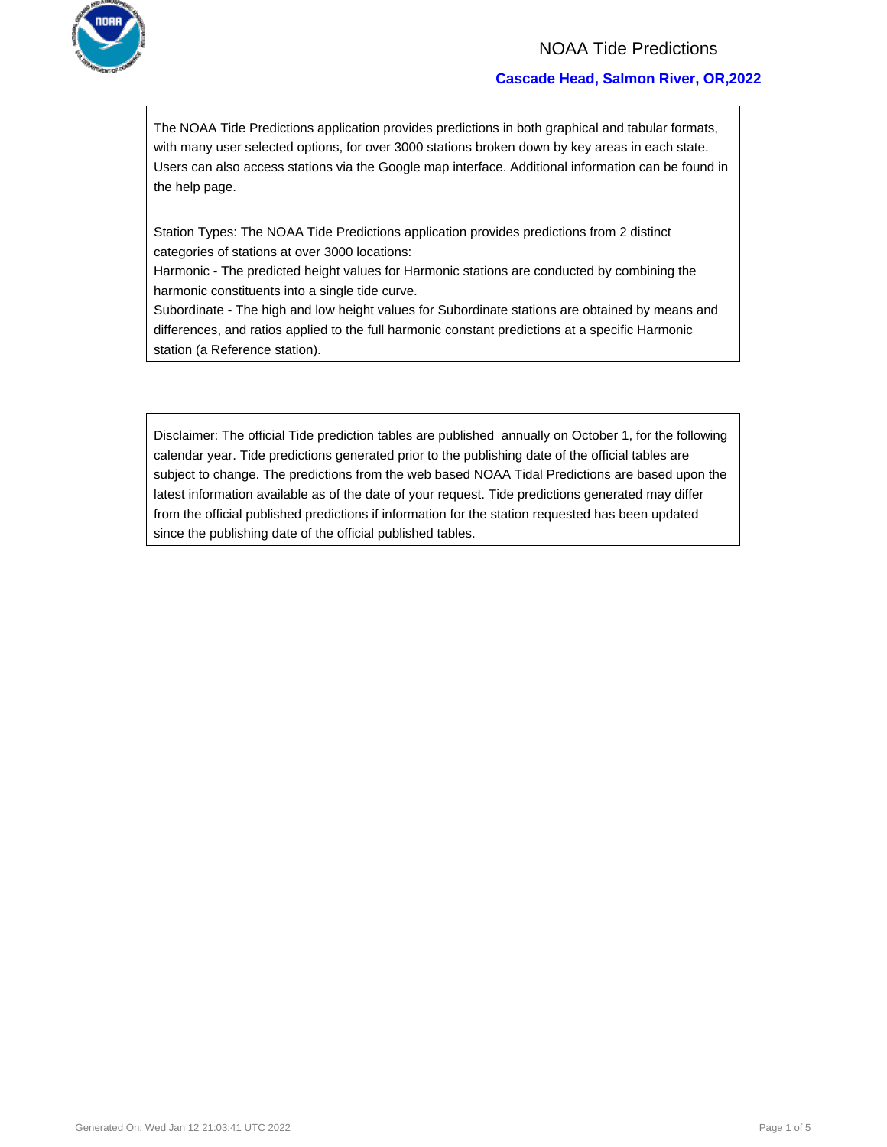

### NOAA Tide Predictions

### **Cascade Head, Salmon River, OR,2022**

The NOAA Tide Predictions application provides predictions in both graphical and tabular formats, with many user selected options, for over 3000 stations broken down by key areas in each state. Users can also access stations via the Google map interface. Additional information can be found in the help page.

Station Types: The NOAA Tide Predictions application provides predictions from 2 distinct categories of stations at over 3000 locations:

Harmonic - The predicted height values for Harmonic stations are conducted by combining the harmonic constituents into a single tide curve.

Subordinate - The high and low height values for Subordinate stations are obtained by means and differences, and ratios applied to the full harmonic constant predictions at a specific Harmonic station (a Reference station).

Disclaimer: The official Tide prediction tables are published annually on October 1, for the following calendar year. Tide predictions generated prior to the publishing date of the official tables are subject to change. The predictions from the web based NOAA Tidal Predictions are based upon the latest information available as of the date of your request. Tide predictions generated may differ from the official published predictions if information for the station requested has been updated since the publishing date of the official published tables.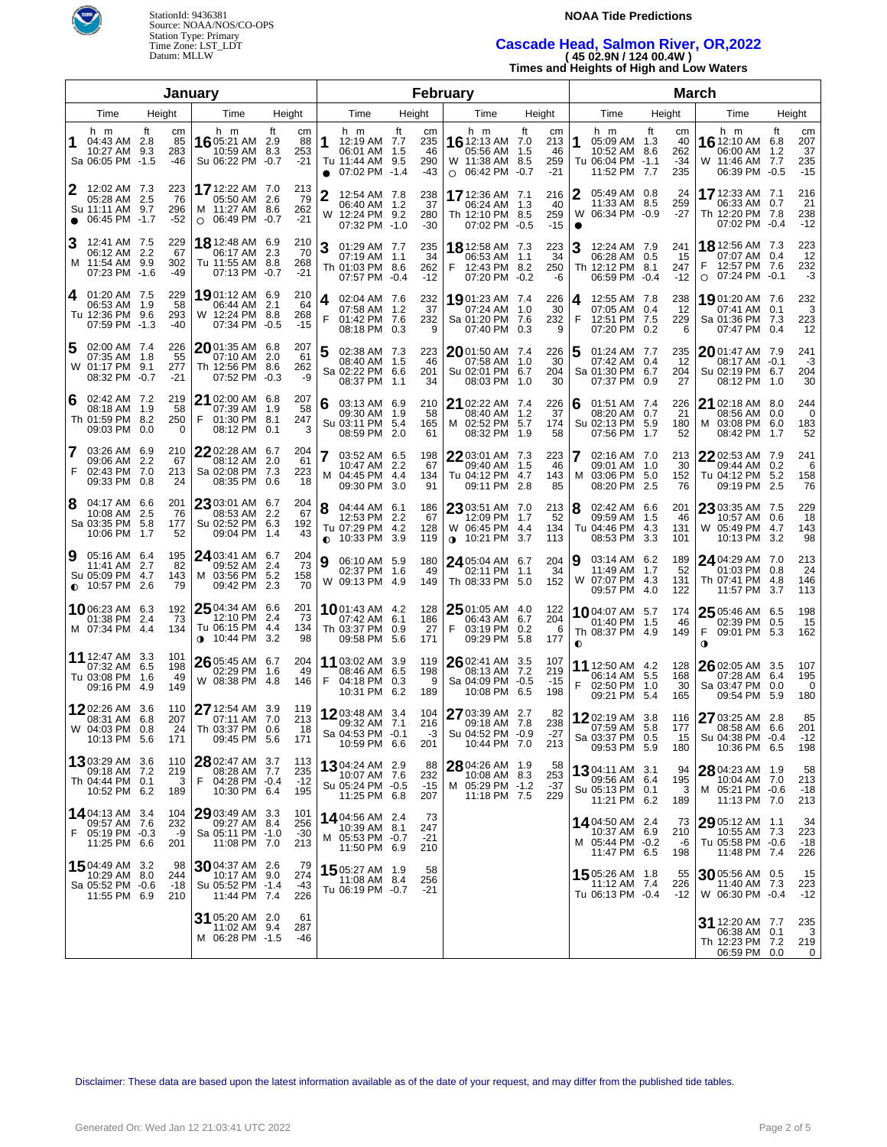

### **NOAA Tide Predictions**

# **Cascade Head, Salmon River, OR,2022 ( 45 02.9N / 124 00.4W )**

**Times and Heights of High and Low Waters**

|                                                                                   | January                                                                                    |                                                                             |                |                                                                           |        |                                 | February                                                                         |                                                |  |                                                                              | <b>March</b>                          |                                                                                    |                         |                                     |
|-----------------------------------------------------------------------------------|--------------------------------------------------------------------------------------------|-----------------------------------------------------------------------------|----------------|---------------------------------------------------------------------------|--------|---------------------------------|----------------------------------------------------------------------------------|------------------------------------------------|--|------------------------------------------------------------------------------|---------------------------------------|------------------------------------------------------------------------------------|-------------------------|-------------------------------------|
| Height<br>Time                                                                    | Time                                                                                       | Height                                                                      |                | Time                                                                      | Height |                                 | Time                                                                             | Height                                         |  | Time                                                                         | Height                                | Time                                                                               |                         | Height                              |
| h m<br>Ħ.<br>04:43 AM 2.8<br>10:27 AM<br>9.3<br>Sa 06:05 PM -1.5                  | h m<br>cm<br>85<br>16 05:21 AM 2.9<br>283<br>Su 06:22 PM<br>-46                            | ft<br>cm<br>88<br>10:59 AM 8.3<br>253<br>$-21$<br>$-0.7$                    | 1<br>$\bullet$ | h m<br>12:19 AM 7.7<br>06:01 AM 1.5<br>Tu 11:44 AM 9.5<br>07:02 PM -1.4   | ft     | cm<br>235<br>46<br>290<br>$-43$ | h m<br><b>16</b> 12:13 AM 7.0<br>05:56 AM<br>W 11:38 AM 8.5<br>$O$ 06:42 PM -0.7 | ft<br>cm<br>213<br>- 1.5<br>46<br>259<br>$-21$ |  | h m<br>1<br>05:09 AM 1.3<br>10:52 AM 8.6<br>Tu 06:04 PM -1.1<br>11:52 PM 7.7 | Ħ.<br>cm<br>40<br>262<br>$-34$<br>235 | h m<br>16 12:10 AM<br>06:00 AM<br>W 11:46 AM<br>06:39 PM -0.5                      | ft<br>6.8<br>1.2<br>7.7 | cm<br>207<br>37<br>235<br>$-15$     |
| 12:02 AM 7.3<br>05:28 AM 2.5<br>Su 11:11 AM<br>9.7<br>06:45 PM -1.7<br>$\bullet$  | 17 12:22 AM 7.0<br>223<br>76<br>296<br>M 11:27 AM 8.6<br>$-52$<br>$\circ$                  | 213<br>79<br>05:50 AM 2.6<br>262<br>06:49 PM -0.7<br>$-21$                  | $\overline{2}$ | 12:54 AM 7.8<br>06:40 AM 1.2<br>W 12:24 PM 9.2<br>07:32 PM -1.0           |        | 238<br>37<br>280<br>$-30$       | 17 12:36 AM 7.1<br>06:24 AM<br>Th 12:10 PM 8.5<br>07:02 PM -0.5                  | 216<br>- 1.3<br>40<br>259<br>$-15$             |  | 05:49 AM 0.8<br>2<br>11:33 AM 8.5<br>W 06:34 PM -0.9                         | 24<br>259<br>-27                      | 17 12:33 AM 7.1<br>06:33 AM 0.7<br>Th 12:20 PM 7.8<br>07:02 PM -0.4                |                         | 216<br>21<br>238<br>$-12$           |
| 3<br>12:41 AM 7.5<br>06:12 AM 2.2<br>M 11:54 AM 9.9<br>07:23 PM -1.6              | 229<br>18 12:48 AM 6.9<br>67<br>06:17 AM<br>302<br>Tu 11:55 AM 8.8<br>07:13 PM<br>-49      | 210<br>2.3<br>70<br>268<br>$-21$<br>-0.7                                    | 3              | 01:29 AM 7.7<br>07:19 AM 1.1<br>Th 01:03 PM 8.6<br>07:57 PM -0.4          |        | 235<br>34<br>262<br>$-12$       | 18 12:58 AM 7.3<br>06:53 AM<br>F<br>12:43 PM 8.2<br>07:20 PM -0.2                | 223<br>34<br>$-1.1$<br>250<br>-6               |  | 3<br>12:24 AM 7.9<br>06:28 AM 0.5<br>Th 12:12 PM 8.1<br>06:59 PM -0.4        | 241<br>15<br>247<br>$-12$             | <b>18</b> 12:56 AM 7.3<br>07:07 AM 0.4<br>12:57 PM 7.6<br>07:24 PM -0.1<br>$\circ$ |                         | 223<br>12<br>232<br>-3              |
| 01:20 AM 7.5<br>4<br>06:53 AM 1.9<br>Tu 12:36 PM 9.6<br>07:59 PM -1.3             | 229<br>1901:12 AM 6.9<br>58<br>06:44 AM<br>W 12:24 PM 8.8<br>293<br>07:34 PM<br>$-40$      | 210<br>64<br>2.1<br>268<br>$-15$<br>$-0.5$                                  | 4<br>F         | 02:04 AM 7.6<br>07:58 AM 1.2<br>01:42 PM 7.6<br>08:18 PM 0.3              |        | 232<br>37<br>232<br>9           | 1901:23 AM 7.4<br>07:24 AM<br>Sa 01:20 PM 7.6<br>07:40 PM 0.3                    | 226<br>30<br>1.0<br>232<br>9                   |  | 12:55 AM 7.8<br>4<br>07:05 AM 0.4<br>F<br>12:51 PM 7.5<br>07:20 PM 0.2       | 238<br>-12<br>229<br>6                | 19 01:20 AM 7.6<br>07:41 AM<br>Sa 01:36 PM 7.3<br>07:47 PM 0.4                     | 0.1                     | 232<br>3<br>223<br>12               |
| 5<br>02:00 AM 7.4<br>07:35 AM 1.8<br>W 01:17 PM 9.1<br>08:32 PM<br>$-0.7$         | 226<br>$20$ 01:35 AM 6.8<br>55<br>07:10 AM<br>Th 12:56 PM 8.6<br>277<br>07:52 PM<br>$-21$  | 207<br>-2.0<br>61<br>262<br>-9<br>-0.3                                      | 5              | 02:38 AM 7.3<br>08:40 AM 1.5<br>Sa 02:22 PM 6.6<br>08:37 PM 1.1           |        | 223<br>46<br>201<br>34          | 2001:50 AM 7.4<br>07:58 AM<br>Su 02:01 PM 6.7<br>08:03 PM 1.0                    | 226<br>30<br>1.0<br>204<br>30                  |  | 15<br>01:24 AM 7.7<br>07:42 AM 0.4<br>Sa 01:30 PM 6.7<br>07:37 PM 0.9        | 235<br>-12<br>204<br>27               | $20$ 01:47 AM 7.9<br>08:17 AM -0.1<br>Su 02:19 PM 6.7<br>08:12 PM 1.0              |                         | 241<br>-3<br>204<br>30              |
| 02:42 AM 7.2<br>6<br>08:18 AM 1.9<br>Th 01:59 PM 8.2<br>09:03 PM<br>0.0           | 219<br>21 02:00 AM 6.8<br>58<br>07:39 AM<br>F<br>250<br>08:12 PM<br>0                      | 207<br>58<br>1.9<br>01:30 PM 8.1<br>247<br>0.1<br>3                         | 6              | 03:13 AM 6.9<br>09:30 AM 1.9<br>Su 03:11 PM 5.4<br>08:59 PM 2.0           |        | 210<br>58<br>165<br>61          | 21 02:22 AM 7.4<br>08:40 AM<br>M 02:52 PM 5.7<br>08:32 PM 1.9                    | 226<br>1.2<br>37<br>174<br>58                  |  | 01:51 AM 7.4<br>6<br>08:20 AM 0.7<br>Su 02:13 PM 5.9<br>07:56 PM 1.7         | 226<br>21<br>180<br>52                | $21$ 02:18 AM 8.0<br>08:56 AM 0.0<br>M 03:08 PM 6.0<br>08:42 PM                    | 1.7                     | 244<br>0<br>183<br>52               |
| 7<br>03:26 AM 6.9<br>09:06 AM<br>-2.2<br>F<br>02:43 PM 7.0<br>09:33 PM<br>0.8     | 210<br>$2202:28$ AM 6.7<br>67<br>08:12 AM<br>Sa 02:08 PM 7.3<br>213<br>08:35 PM<br>24      | 204<br>61<br>-2.0<br>223<br>18<br>0.6                                       | 7              | 03:52 AM 6.5<br>10:47 AM 2.2<br>M 04:45 PM 4.4<br>09:30 PM 3.0            |        | 198<br>67<br>134<br>91          | $2203:01$ AM 7.3<br>09:40 AM<br>Tu 04:12 PM 4.7<br>09:11 PM 2.8                  | 223<br>1.5<br>46<br>143<br>85                  |  | 17<br>02:16 AM 7.0<br>09:01 AM 1.0<br>M 03:06 PM 5.0<br>08:20 PM 2.5         | 213<br>30<br>152<br>76                | 22 02:53 AM 7.9<br>09:44 AM<br>Tu 04:12 PM<br>09:19 PM 2.5                         | 0.2<br>5.2              | 241<br>6<br>158<br>76               |
| 8<br>04:17 AM 6.6<br>10:08 AM<br>2.5<br>Sa 03:35 PM 5.8<br>10:06 PM<br>1.7        | 201<br>$2303:01$ AM 6.7<br>76<br>08:53 AM<br>Su 02:52 PM 6.3<br>177<br>52<br>09:04 PM      | 204<br>2.2<br>67<br>192<br>43<br>-1.4                                       | 8              | 04:44 AM 6.1<br>12:53 PM 2.2<br>Tu 07:29 PM 4.2<br>$\bullet$ 10:33 PM 3.9 |        | 186<br>67<br>128<br>119         | $2303:51$ AM 7.0<br>12:09 PM<br>W 06:45 PM 4.4<br>10:21 PM 3.7<br>$\bullet$      | 213<br>1.7<br>52<br>134<br>113                 |  | 02:42 AM 6.6<br>18<br>09:59 AM 1.5<br>Tu 04:46 PM 4.3<br>08:53 PM 3.3        | 201<br>46<br>131<br>101               | $23$ 03:35 AM 7.5<br>10:57 AM<br>W 05:49 PM<br>10:13 PM                            | 0.6<br>4.7<br>3.2       | 229<br>18<br>143<br>98              |
| 9<br>05:16 AM 6.4<br>11:41 AM 2.7<br>Su 05:09 PM 4.7<br>$\bullet$ 10:57 PM<br>2.6 | 195<br>24 03:41 AM 6.7<br>82<br>09:52 AM<br>143<br>M<br>79<br>09:42 PM                     | 204<br>73<br>-2.4<br>03:56 PM 5.2<br>158<br>2.3<br>70                       | 9              | 06:10 AM 5.9<br>02:37 PM 1.6<br>W 09:13 PM 4.9                            |        | 180<br>49<br>149                | 24 05:04 AM 6.7<br>02:11 PM 1.1<br>Th 08:33 PM 5.0                               | 204<br>34<br>152                               |  | 19<br>03:14 AM 6.2<br>11:49 AM 1.7<br>W 07:07 PM 4.3<br>09:57 PM 4.0         | 189<br>52<br>131<br>122               | 24 04:29 AM 7.0<br>01:03 PM<br>Th 07:41 PM<br>11:57 PM                             | 0.8<br>4.8<br>3.7       | 213<br>24<br>146<br>113             |
| 1006:23 AM 6.3<br>01:38 PM<br>-2.4<br>M 07:34 PM 4.4                              | 2504:34 AM 6.6<br>192<br>12:10 PM<br>73<br>Tu 06:15 PM 4.4<br>134<br>10:44 PM<br>$\bullet$ | 201<br>-2.4<br>73<br>134<br>3.2<br>98                                       |                | <b>10</b> 01:43 AM 4.2<br>07:42 AM 6.1<br>Th 03:37 PM 0.9<br>09:58 PM 5.6 |        | 128<br>186<br>27<br>171         | $2501:05$ AM 4.0<br>06:43 AM 6.7<br>F<br>03:19 PM 0.2<br>09:29 PM 5.8            | 122<br>204<br>6<br>177                         |  | 1004:07 AM 5.7<br>01:40 PM 1.5<br>Th 08:37 PM 4.9<br>$\bullet$               | 174<br>46<br>149                      | $2505:46$ AM 6.5<br>02:39 PM<br>F<br>09:01 PM 5.3<br>$\mathbf o$                   | 0.5                     | 198<br>15<br>162                    |
| 11 12:47 AM 3.3<br>07:32 AM 6.5<br>Tu 03:08 PM 1.6<br>09:16 PM 4.9                | 101<br>26 05:45 AM 6.7<br>198<br>02:29 PM<br>49<br>W 08:38 PM<br>149                       | 204<br>1.6<br>49<br>-4.8<br>146                                             | F              | 11 03:02 AM 3.9<br>08:46 AM 6.5<br>04:18 PM 0.3<br>10:31 PM 6.2           |        | 119<br>198<br>9<br>189          | 26 02:41 AM 3.5<br>08:13 AM 7.2<br>Sa 04:09 PM -0.5<br>10:08 PM                  | 107<br>219<br>$-15$<br>6.5<br>198              |  | 11 12:50 AM 4.2<br>06:14 AM 5.5<br>F<br>02:50 PM 1.0<br>09:21 PM 5.4         | 128<br>168<br>30<br>165               | 26 02:05 AM 3.5<br>07:28 AM<br>Sa 03:47 PM<br>09:54 PM                             | 6.4<br>0.0<br>5.9       | 107<br>195<br>$\overline{0}$<br>180 |
| 1202:26 AM 3.6<br>08:31 AM 6.8<br>W 04:03 PM<br>0.8<br>10:13 PM 5.6               | 27 12:54 AM 3.9<br>110<br>207<br>Th 03:37 PM 0.6<br>24<br>171                              | 119<br>213<br>07:11 AM 7.0<br>18<br>09:45 PM 5.6<br>171                     |                | 1203:48 AM 3.4<br>09:32 AM 7.1<br>Sa 04:53 PM -0.1<br>10:59 PM 6.6        |        | 104<br>216<br>-3<br>201         | 27 03:39 AM 2.7<br>09:18 AM 7.8<br>Su 04:52 PM -0.9<br>10:44 PM 7.0              | 82<br>238<br>$-27$<br>213                      |  | 1202:19 AM 3.8<br>07:59 AM 5.8<br>Sa 03:37 PM 0.5<br>09:53 PM 5.9            | 116<br>177<br>15<br>180               | 27 03:25 AM 2.8<br>08:58 AM 6.6<br>Su 04:38 PM -0.4<br>10:36 PM 6.5                |                         | 85<br>201<br>-12<br>198             |
| 1303:29 AM 3.6<br>09:18 AM 7.2<br>Th 04:44 PM 0.1<br>10:52 PM 6.2                 | 28 02:47 AM 3.7<br>110<br>219<br>F<br>3<br>189                                             | 113<br>08:28 AM 7.7<br>235<br>$-12$<br>04:28 PM -0.4<br>10:30 PM 6.4<br>195 |                | 1304:24 AM 2.9<br>10:07 AM 7.6<br>Su 05:24 PM -0.5<br>11:25 PM 6.8        |        | 88<br>232<br>$-15$<br>207       | $28$ 04:26 AM $\,$ 1.9 $\,$<br>10:08 AM 8.3<br>M 05:29 PM -1.2<br>11:18 PM 7.5   | 58<br>253<br>$-37$<br>229                      |  | $1304:11$ AM 3.1<br>09:56 AM 6.4<br>Su 05:13 PM 0.1<br>11:21 PM 6.2          | 94<br>195<br>3<br>189                 | 28 04:23 AM 1.9<br>10:04 AM 7.0<br>M 05:21 PM -0.6<br>11:13 PM 7.0                 |                         | 58<br>213<br>$-18$<br>213           |
| 14.04:13 AM 3.4<br>09:57 AM 7.6<br>F<br>05:19 PM -0.3<br>11:25 PM 6.6             | 29 03:49 AM 3.3<br>104<br>232<br>Sa 05:11 PM -1.0<br>-9<br>201                             | 101<br>256<br>09:27 AM 8.4<br>$-30$<br>11:08 PM 7.0<br>213                  |                | 14 04:56 AM 2.4<br>10:39 AM 8.1<br>M 05:53 PM -0.7<br>11:50 PM 6.9        |        | 73<br>247<br>$-21$<br>210       |                                                                                  |                                                |  | 14 04:50 AM 2.4<br>10:37 AM 6.9<br>M 05:44 PM -0.2<br>11:47 PM 6.5           | 73<br>210<br>-6<br>198                | 29 05:12 AM 1.1<br>10:55 AM 7.3<br>Tu 05:58 PM -0.6<br>11:48 PM 7.4                |                         | 34<br>223<br>-18<br>226             |
| 15,04:49 AM 3.2<br>10:29 AM 8.0<br>Sa 05:52 PM -0.6<br>11:55 PM 6.9               | 3004:37 AM 2.6<br>98<br>244<br>$-18$<br>Su 05:52 PM -1.4<br>210                            | 79<br>274<br>10:17 AM 9.0<br>-43<br>11:44 PM 7.4<br>226                     |                | 15 05:27 AM 1.9<br>11:08 AM 8.4<br>Tu 06:19 PM -0.7                       |        | 58<br>256<br>$-21$              |                                                                                  |                                                |  | 15 05:26 AM 1.8<br>11:12 AM 7.4<br>Tu 06:13 PM -0.4                          | 55<br>226<br>$-12$                    | 30 05:56 AM 0.5<br>11:40 AM 7.3<br>W 06:30 PM -0.4                                 |                         | 15<br>223<br>$-12$                  |
|                                                                                   | 31 05:20 AM 2.0<br>M 06:28 PM -1.5                                                         | 61<br>11:02 AM 9.4<br>287<br>-46                                            |                |                                                                           |        |                                 |                                                                                  |                                                |  |                                                                              |                                       | 31 12:20 AM 7.7<br>06:38 AM 0.1<br>Th 12:23 PM<br>06:59 PM 0.0                     | 7.2                     | 235<br>3<br>219<br>0                |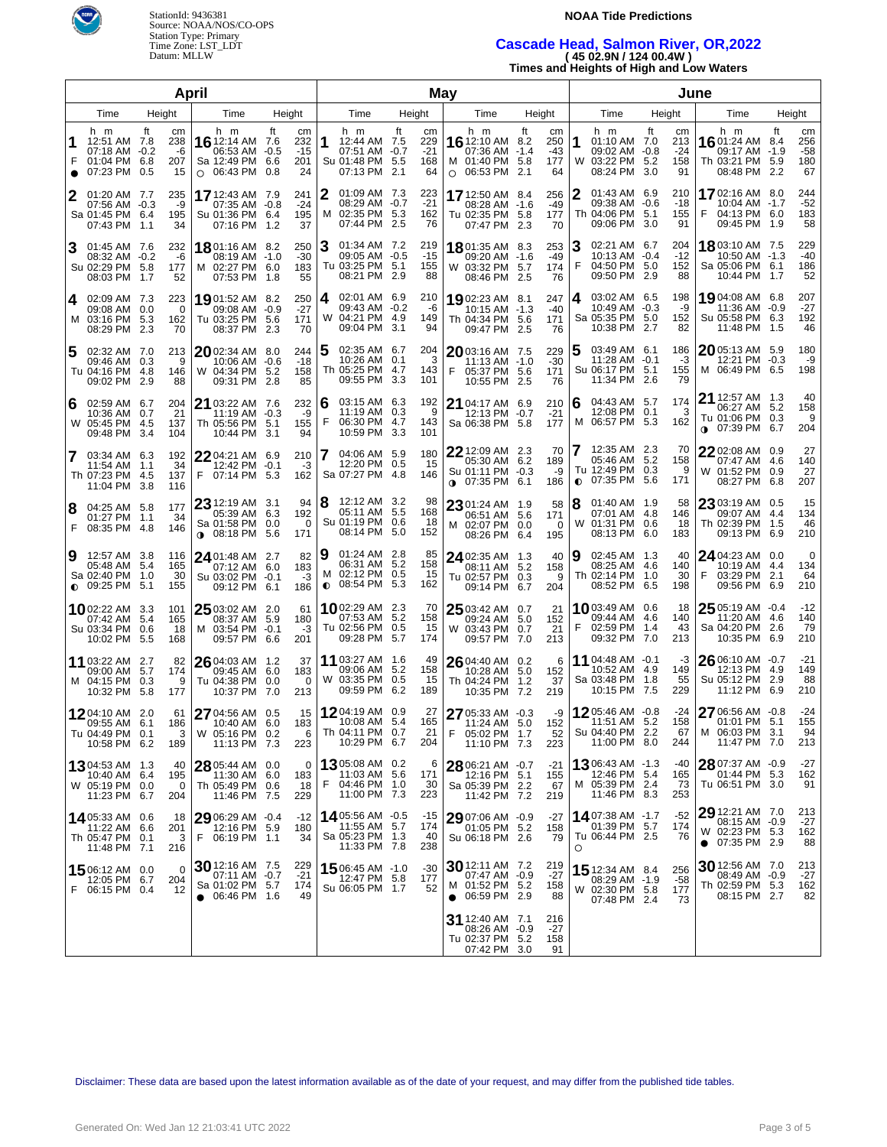

### **NOAA Tide Predictions**

# **Cascade Head, Salmon River, OR,2022 ( 45 02.9N / 124 00.4W )**

**Times and Heights of High and Low Waters**

|                |                                                                                   |                                                   | April                                                                              |                                     |                                                                              |                                       | May                                                                            |                                                              |                                                                             | June                                |                                                                                 |                                                      |  |
|----------------|-----------------------------------------------------------------------------------|---------------------------------------------------|------------------------------------------------------------------------------------|-------------------------------------|------------------------------------------------------------------------------|---------------------------------------|--------------------------------------------------------------------------------|--------------------------------------------------------------|-----------------------------------------------------------------------------|-------------------------------------|---------------------------------------------------------------------------------|------------------------------------------------------|--|
| Time<br>Height |                                                                                   |                                                   | Time                                                                               | Height                              | Time                                                                         | Height                                | Time                                                                           | Height                                                       | Time                                                                        | Height                              | Time                                                                            | Height                                               |  |
| 1              | h m<br>12:51 AM 7.8<br>07:18 AM<br>01:04 PM 6.8<br>F<br>07:23 PM 0.5<br>$\bullet$ | ft<br>cm<br>238<br>$-0.2$<br>-6<br>207<br>15      | h m<br>16 12:14 AM 7.6<br>06:53 AM -0.5<br>Sa 12:49 PM 6.6<br>$\circ$ 06:43 PM 0.8 | ft<br>cm<br>232<br>-15<br>201<br>24 | h m<br>1<br>12:44 AM 7.5<br>07:51 AM -0.7<br>Su 01:48 PM 5.5<br>07:13 PM 2.1 | ft<br>cm<br>229<br>$-21$<br>168<br>64 | h m<br>16 12:10 AM 8.2<br>07:36 AM<br>M 01:40 PM<br>$O$ 06:53 PM               | ft<br>cm<br>250<br>$-1.4$<br>-43<br>-5.8<br>177<br>2.1<br>64 | h m<br>1<br>01:10 AM 7.0<br>09:02 AM -0.8<br>W 03:22 PM 5.2<br>08:24 PM 3.0 | ft<br>cm<br>213<br>-24<br>158<br>91 | h m<br>16 01:24 AM 8.4<br>09:17 AM<br>Th 03:21 PM 5.9<br>08:48 PM               | ft<br>cm<br>256<br>-58<br>$-1.9$<br>180<br>2.2<br>67 |  |
| 2              | 01:20 AM 7.7<br>07:56 AM -0.3<br>Sa 01:45 PM 6.4<br>07:43 PM                      | 235<br>-9<br>195<br>1.1<br>34                     | <b>17</b> 12:43 AM 7.9<br>07:35 AM -0.8<br>Su 01:36 PM 6.4<br>07:16 PM 1.2         | 241<br>$-24$<br>195<br>37           | 2<br>01:09 AM 7.3<br>08:29 AM -0.7<br>M 02:35 PM 5.3<br>07:44 PM 2.5         | 223<br>$-21$<br>162<br>76             | 17 12:50 AM<br>08:28 AM -1.6<br>Tu 02:35 PM 5.8<br>07:47 PM 2.3                | - 8.4<br>256<br>-49<br>177<br>70                             | 2<br>01:43 AM 6.9<br>09:38 AM -0.6<br>Th 04:06 PM 5.1<br>09:06 PM 3.0       | 210<br>$-18$<br>155<br>91           | 1702:16 AM 8.0<br>10:04 AM -1.7<br>04:13 PM 6.0<br>F<br>09:45 PM                | 244<br>$-52$<br>183<br>58<br>- 1.9                   |  |
| 3              | 01:45 AM 7.6<br>08:32 AM -0.2<br>Su 02:29 PM 5.8<br>08:03 PM                      | 232<br>-6<br>177<br>1.7<br>52                     | 1801:16 AM 8.2<br>08:19 AM -1.0<br>M 02:27 PM 6.0<br>07:53 PM 1.8                  | 250<br>$-30$<br>183<br>55           | 3<br>01:34 AM 7.2<br>09:05 AM -0.5<br>Tu 03:25 PM 5.1<br>08:21 PM 2.9        | 219<br>$-15$<br>155<br>88             | 1801:35 AM<br>09:20 AM<br>W 03:32 PM<br>08:46 PM                               | 8.3<br>253<br>$-49$<br>$-1.6$<br>5.7<br>174<br>-2.5<br>76    | 3<br>02:21 AM 6.7<br>10:13 AM -0.4<br>F<br>04:50 PM 5.0<br>09:50 PM 2.9     | 204<br>$-12$<br>152<br>88           | <b>18</b> 03:10 AM 7.5<br>10:50 AM -1.3<br>Sa 05:06 PM 6.1<br>10:44 PM 1.7      | 229<br>$-40$<br>186<br>52                            |  |
|                | 02:09 AM 7.3<br>4<br>09:08 AM<br>M 03:16 PM<br>08:29 PM                           | 223<br>0.0<br>$\Omega$<br>5.3<br>162<br>2.3<br>70 | 19 01:52 AM 8.2<br>09:08 AM -0.9<br>Tu 03:25 PM 5.6<br>08:37 PM 2.3                | 250<br>$-27$<br>171<br>70           | 02:01 AM 6.9<br>4<br>09:43 AM -0.2<br>W 04:21 PM 4.9<br>09:04 PM 3.1         | 210<br>-6<br>149<br>94                | 1902:23 AM<br>10:15 AM<br>Th 04:34 PM<br>09:47 PM                              | 8.1<br>247<br>$-1.3$<br>$-40$<br>5.6<br>171<br>2.5<br>76     | 03:02 AM 6.5<br>14<br>10:49 AM -0.3<br>Sa 05:35 PM 5.0<br>10:38 PM 2.7      | 198<br>-9<br>152<br>82              | 19 04:08 AM 6.8<br>11:36 AM<br>Su 05:58 PM 6.3<br>11:48 PM                      | 207<br>$-0.9$<br>$-27$<br>192<br>46<br>1.5           |  |
| 5              | 02:32 AM 7.0<br>09:46 AM 0.3<br>Tu 04:16 PM<br>09:02 PM                           | 213<br>9<br>4.8<br>146<br>2.9<br>88               | 2002:34 AM 8.0<br>10:06 AM -0.6<br>W 04:34 PM 5.2<br>09:31 PM 2.8                  | 244<br>$-18$<br>158<br>85           | 5<br>02:35 AM 6.7<br>10:26 AM 0.1<br>Th 05:25 PM 4.7<br>09:55 PM 3.3         | 204<br>3<br>143<br>101                | 2003:16 AM<br>11:13 AM<br>05:37 PM<br>10:55 PM                                 | 229<br>- 7.5<br>$-30$<br>$-1.0$<br>5.6<br>171<br>2.5<br>76   | 5<br>03:49 AM 6.1<br>$11:28$ AM $-0.1$<br>Su 06:17 PM 5.1<br>11:34 PM 2.6   | 186<br>-3<br>155<br>79              | $2005:13$ AM 5.9<br>12:21 PM<br>M 06:49 PM 6.5                                  | 180<br>$-0.3$<br>-9<br>198                           |  |
| 6              | 02:59 AM 6.7<br>10:36 AM<br>W 05:45 PM<br>09:48 PM                                | 204<br>21<br>0.7<br>4.5<br>137<br>3.4<br>104      | 21 03:22 AM 7.6<br>11:19 AM -0.3<br>Th 05:56 PM 5.1<br>10:44 PM 3.1                | 232<br>-9<br>155<br>94              | 6<br>03:15 AM 6.3<br>11:19 AM 0.3<br>F<br>06:30 PM 4.7<br>10:59 PM 3.3       | 192<br>9<br>143<br>101                | 21 04:17 AM<br>12:13 PM -0.7<br>Sa 06:38 PM 5.8                                | 6.9<br>210<br>$-21$<br>177                                   | 16<br>04:43 AM 5.7<br>12:08 PM 0.1<br>M 06:57 PM 5.3                        | 174<br>3<br>162                     | 21 12:57 AM 1.3<br>06:27 AM<br>Tu 01:06 PM 0.3<br>07:39 PM<br>0                 | 40<br>-5.2<br>158<br>9<br>6.7<br>204                 |  |
| 7              | 03:34 AM 6.3<br>11:54 AM<br>Th 07:23 PM<br>11:04 PM                               | 192<br>34<br>1.1<br>137<br>4.5<br>3.8<br>116      | 22 04:21 AM 6.9<br>12:42 PM -0.1<br>F<br>07:14 PM 5.3                              | 210<br>-3<br>162                    | 04:06 AM 5.9<br>12:20 PM 0.5<br>Sa 07:27 PM 4.8                              | 180<br>15<br>146                      | $22$ 12:09 AM 2.3<br>05:30 AM<br>Su 01:11 PM<br>$0.07:35 \text{ PM}$           | 70<br>6.2<br>189<br>-9<br>-0.3<br>6.1<br>186                 | 12:35 AM 2.3<br>05:46 AM 5.2<br>Tu 12:49 PM 0.3<br>$0$ 07:35 PM             | 70<br>158<br>9<br>-5.6<br>171       | 2202:08 AM<br>07:47 AM<br>W 01:52 PM<br>08:27 PM                                | 27<br>0.9<br>140<br>4.6<br>27<br>0.9<br>6.8<br>207   |  |
| 8              | 04:25 AM 5.8<br>01:27 PM<br>F 08:35 PM 4.8                                        | 177<br>34<br>1.1<br>146                           | $2312:19$ AM 3.1<br>05:39 AM 6.3<br>Sa 01:58 PM 0.0<br>$0.08:18$ PM 5.6            | 94<br>192<br>0<br>171               | 8<br>12:12 AM 3.2<br>05:11 AM 5.5<br>Su 01:19 PM 0.6<br>08:14 PM 5.0         | 98<br>168<br>18<br>152                | 2301:24 AM<br>06:51 AM<br>M 02:07 PM<br>08:26 PM                               | 58<br>- 1.9<br>- 5.6<br>171<br>0.0<br>0<br>6.4<br>195        | 8<br>$01:40$ AM $1.9$<br>07:01 AM 4.8<br>W 01:31 PM 0.6<br>08:13 PM         | 58<br>146<br>18<br>- 6.0<br>183     | 23 03:19 AM 0.5<br>09:07 AM<br>Th 02:39 PM<br>09:13 PM                          | 15<br>134<br>4.4<br>46<br>1.5<br>210<br>6.9          |  |
| 9              | 12:57 AM 3.8<br>05:48 AM<br>Sa 02:40 PM<br>$0.09:25$ PM                           | 116<br>165<br>5.4<br>30<br>1.0<br>5.1<br>155      | 24 01:48 AM 2.7<br>07:12 AM 6.0<br>Su 03:02 PM -0.1<br>09:12 PM 6.1                | 82<br>183<br>-3<br>186              | 9<br>$01:24$ AM $2.8$<br>06:31 AM 5.2<br>M 02:12 PM 0.5<br>$0$ 08:54 PM 5.3  | 85<br>158<br>15<br>162                | 24 02:35 AM<br>08:11 AM<br>Tu 02:57 PM<br>09:14 PM                             | 40<br>-1.3<br>5.2<br>158<br>0.3<br>9<br>6.7<br>204           | 19<br>02:45 AM 1.3<br>08:25 AM 4.6<br>Th 02:14 PM 1.0<br>08:52 PM 6.5       | 40<br>140<br>30<br>198              | $24$ 04:23 AM 0.0<br>10:19 AM<br>03:29 PM<br>F<br>09:56 PM                      | 0<br>134<br>-4.4<br>2.1<br>64<br>6.9<br>210          |  |
|                | <b>10</b> 02:22 AM 3.3<br>07:42 AM<br>Su 03:34 PM<br>10:02 PM                     | 101<br>5.4<br>165<br>0.6<br>18<br>5.5<br>168      | 25 03:02 AM 2.0<br>08:37 AM 5.9<br>M 03:54 PM -0.1<br>09:57 PM 6.6                 | 61<br>180<br>-3<br>201              | 1002:29 AM 2.3<br>07:53 AM 5.2<br>Tu 02:56 PM 0.5<br>09:28 PM 5.7            | 70<br>158<br>15<br>174                | 25 03:42 AM<br>09:24 AM<br>W 03:43 PM<br>09:57 PM                              | 0.7<br>21<br>5.0<br>152<br>0.7<br>21<br>7.0<br>213           | 1003:49 AM 0.6<br>09:44 AM 4.6<br>F<br>02:59 PM 1.4<br>09:32 PM 7.0         | 18<br>140<br>43<br>213              | 25 05:19 AM -0.4<br>11:20 AM<br>Sa 04:20 PM<br>10:35 PM                         | $-12$<br>140<br>-4.6<br>79<br>2.6<br>6.9<br>210      |  |
|                | 11 03:22 AM 2.7<br>09:00 AM<br>M 04:15 PM<br>10:32 PM                             | 82<br>5.7<br>174<br>0.3<br>9<br>-5.8<br>177       | 26 04:03 AM 1.2<br>09:45 AM 6.0<br>Tu 04:38 PM 0.0<br>10:37 PM 7.0                 | 37<br>183<br>0<br>213               | 11 03:27 AM 1.6<br>09:06 AM 5.2<br>W 03:35 PM 0.5<br>09:59 PM 6.2            | 49<br>158<br>15<br>189                | 26 04:40 AM 0.2<br>10:28 AM<br>Th 04:24 PM<br>10:35 PM 7.2                     | 6<br>152<br>5.0<br>1.2<br>37<br>219                          | 11 04:48 AM -0.1<br>10:52 AM 4.9<br>Sa 03:48 PM 1.8<br>10:15 PM 7.5         | -3<br>149<br>55<br>229              | $26$ 06:10 AM -0.7<br>12:13 PM<br>Su 05:12 PM<br>11:12 PM                       | $-21$<br>-4.9<br>149<br>2.9<br>88<br>210<br>6.9      |  |
|                | 12 04:10 AM 2.0<br>09:55 AM<br>TU 04:49 PM 0.1<br>10:58 PM 6.2                    | 61<br>6.1<br>186<br>3<br>189                      | 27 04:56 AM 0.5<br>10:40 AM 6.0<br>W 05:16 PM 0.2<br>11:13 PM 7.3                  | 15<br>183<br>ь<br>223               | 1204:19 AM 0.9<br>10:08 AM 5.4<br>Th 04:11 PM 0.7<br>10:29 PM 6.7            | 27<br>165<br>21<br>204                | 27 05:33 AM -0.3<br>11:24 AM<br>$F = 05:02$ PM 1.7<br>11:10 PM 7.3             | -9<br>5.0<br>152<br>52<br>223                                | 1205:46 AM -0.8<br>11:51 AM 5.2<br>Su 04:40 PM 2.2<br>11:00 PM 8.0          | -24<br>158<br>67<br>244             | 27 06:56 AM -0.8<br>01:01 PM 5.1<br>M 06:03 PM 3.1<br>11:47 PM 7.0              | $-24$<br>155<br>94<br>213                            |  |
|                | <b>13</b> 04:53 AM 1.3<br>10:40 AM 6.4<br>W 05:19 PM 0.0<br>11:23 PM 6.7          | 40<br>195<br>0<br>204                             | 28 05:44 AM 0.0<br>11:30 AM 6.0<br>Th 05:49 PM 0.6<br>11:46 PM 7.5                 | $\Omega$<br>183<br>18<br>229        | 1305:08 AM 0.2<br>11:03 AM 5.6<br>F<br>04:46 PM 1.0<br>11:00 PM 7.3          | 6<br>171<br>30<br>223                 | 28 06:21 AM -0.7<br>12:16 PM 5.1<br>Sa 05:39 PM 2.2<br>11:42 PM 7.2            | $-21$<br>155<br>67<br>219                                    | 1306:43 AM -1.3<br>12:46 PM 5.4<br>M 05:39 PM 2.4<br>11:46 PM 8.3           | -40<br>165<br>73<br>253             | 2807:37 AM -0.9<br>01:44 PM 5.3<br>Tu 06:51 PM 3.0                              | -27<br>162<br>91                                     |  |
|                | 14 05:33 AM 0.6<br>11:22 AM 6.6<br>Th 05:47 PM 0.1<br>11:48 PM 7.1                | 18<br>201<br>3<br>216                             | $2906:29$ AM $-0.4$<br>12:16 PM 5.9<br>F<br>06:19 PM 1.1                           | -12<br>180<br>34                    | 1405:56 AM -0.5<br>11:55 AM 5.7<br>Sa 05:23 PM 1.3<br>11:33 PM 7.8           | $-15$<br>174<br>-40<br>238            | 29 07:06 AM -0.9<br>01:05 PM 5.2<br>Su 06:18 PM 2.6                            | $-27$<br>158<br>79                                           | 1407:38 AM -1.7<br>01:39 PM 5.7<br>Tu 06:44 PM 2.5<br>$\circ$               | $-52$<br>174<br>76                  | 29 12:21 AM 7.0<br>08:15 AM -0.9<br>W 02:23 PM 5.3<br>07:35 PM 2.9<br>$\bullet$ | 213<br>-27<br>162<br>88                              |  |
|                | 1506:12 AM 0.0<br>12:05 PM 6.7<br>F 06:15 PM 0.4                                  | $\Omega$<br>204<br>12                             | 30 12:16 AM 7.5<br>07:11 AM -0.7<br>Sa 01:02 PM 5.7<br>$\bullet$ 06:46 PM 1.6      | 229<br>$-21$<br>174<br>49           | 15 06:45 AM -1.0<br>12:47 PM 5.8<br>Su 06:05 PM 1.7                          | $-30$<br>177<br>52                    | $30$ 12:11 AM 7.2<br>07:47 AM -0.9<br>M 01:52 PM 5.2<br>$\bullet$ 06:59 PM 2.9 | 219<br>$-27$<br>158<br>88                                    | 15 12:34 AM 8.4<br>08:29 AM -1.9<br>W 02:30 PM 5.8<br>07:48 PM 2.4          | 256<br>-58<br>177<br>73             | 30 12:56 AM 7.0<br>08:49 AM -0.9<br>Th 02:59 PM 5.3<br>08:15 PM 2.7             | 213<br>$-27$<br>162<br>82                            |  |
|                |                                                                                   |                                                   |                                                                                    |                                     |                                                                              |                                       | 31 12:40 AM 7.1<br>08:26 AM<br>Tu 02:37 PM 5.2<br>07:42 PM 3.0                 | 216<br>-0.9<br>-27<br>158<br>91                              |                                                                             |                                     |                                                                                 |                                                      |  |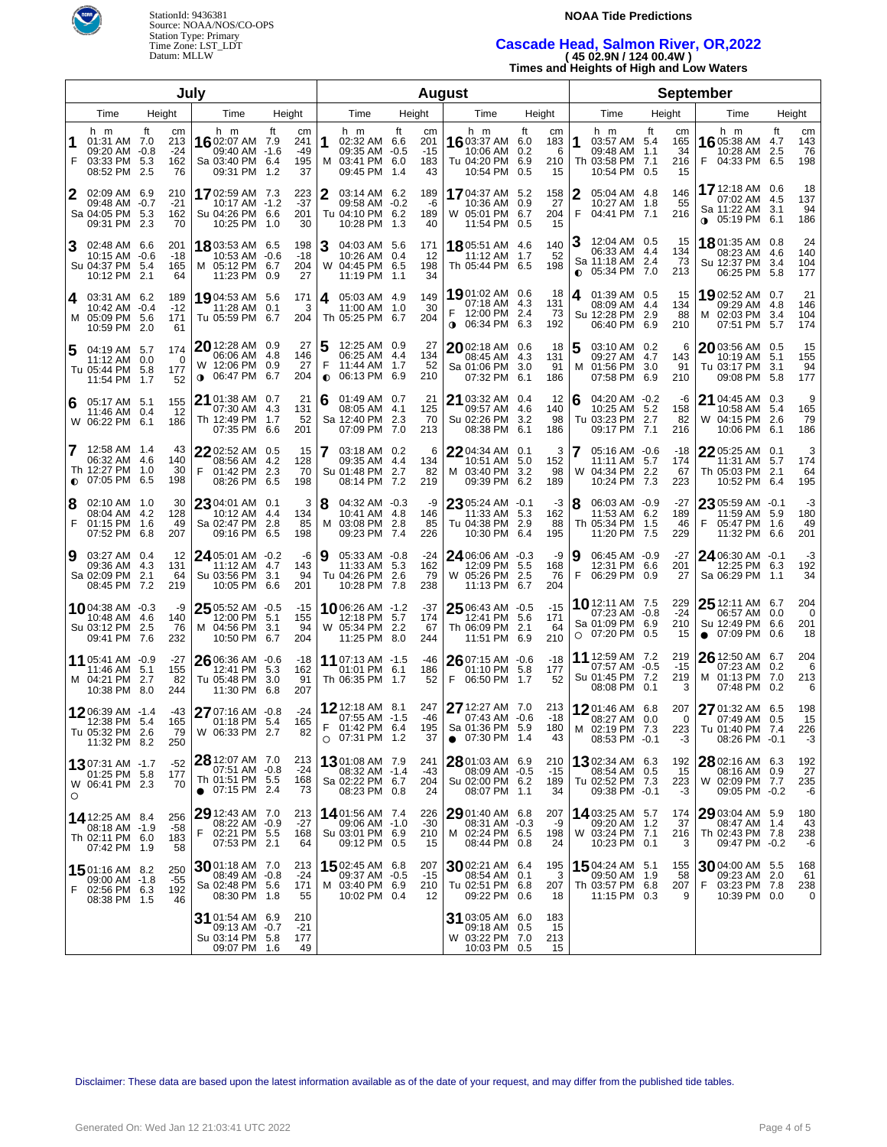

### **NOAA Tide Predictions**

## **Cascade Head, Salmon River, OR,2022 ( 45 02.9N / 124 00.4W )**

**Times and Heights of High and Low Waters**

| July           |                                                                           |                     |                  |                                                                                  |            |                                 |                | <b>August</b>                                                              |        |                                 |           |                                                                            |                   |                             |        |                                                                                | <b>September</b> |                              |                                    |                                                           |                   |                         |  |
|----------------|---------------------------------------------------------------------------|---------------------|------------------|----------------------------------------------------------------------------------|------------|---------------------------------|----------------|----------------------------------------------------------------------------|--------|---------------------------------|-----------|----------------------------------------------------------------------------|-------------------|-----------------------------|--------|--------------------------------------------------------------------------------|------------------|------------------------------|------------------------------------|-----------------------------------------------------------|-------------------|-------------------------|--|
| Time<br>Height |                                                                           |                     | Time             |                                                                                  | Height     | Time                            |                |                                                                            | Height |                                 | Time      |                                                                            | Height            |                             | Time   | Height                                                                         |                  | Time                         |                                    | Height                                                    |                   |                         |  |
| F              | h m<br>01:31 AM 7.0<br>09:20 AM -0.8<br>03:33 PM 5.3<br>08:52 PM 2.5      | ft<br>213<br>162    | cm<br>-24<br>76  | h m<br>1602:07 AM 7.9<br>09:40 AM -1.6<br>Sa 03:40 PM 6.4<br>09:31 PM            | ft<br>1.2  | cm<br>241<br>$-49$<br>195<br>37 | 1              | h m<br>02:32 AM 6.6<br>09:35 AM -0.5<br>M 03:41 PM 6.0<br>09:45 PM 1.4     | ft     | cm<br>201<br>$-15$<br>183<br>43 |           | h m<br>16 03:37 AM 6.0<br>10:06 AM<br>Tu 04:20 PM 6.9<br>10:54 PM          | ft<br>0.2<br>0.5  | cm<br>183<br>6<br>210<br>15 | 1      | h m<br>03:57 AM 5.4<br>09:48 AM 1.1<br>Th 03:58 PM 7.1<br>10:54 PM 0.5         | ft               | cm<br>165<br>34<br>216<br>15 | h m<br>1605:38 AM 4.7<br>F.        | 10:28 AM<br>04:33 PM 6.5                                  | ft<br>2.5         | cm<br>143<br>76<br>198  |  |
| 2              | 02:09 AM 6.9<br>09:48 AM -0.7<br>Sa 04:05 PM 5.3<br>09:31 PM 2.3          | 210<br>$-21$<br>162 | 70               | 1702:59 AM 7.3<br>10:17 AM -1.2<br>Su 04:26 PM 6.6<br>10:25 PM 1.0               |            | 223<br>$-37$<br>201<br>30       | 2              | 03:14 AM 6.2<br>09:58 AM -0.2<br>Tu 04:10 PM 6.2<br>10:28 PM 1.3           |        | 189<br>-6<br>189<br>40          |           | <b>17</b> 04:37 AM<br>10:36 AM<br>W 05:01 PM 6.7<br>11:54 PM 0.5           | 5.2<br>0.9        | 158<br>27<br>204<br>15      | 2<br>F | 05:04 AM 4.8<br>10:27 AM 1.8<br>04:41 PM 7.1                                   |                  | 146<br>55<br>216             | 17 12:18 AM 0.6                    | 07:02 AM 4.5<br>Sa 11:22 AM 3.1<br>$0.05:19 \text{ PM}$   | 6.1               | 18<br>137<br>94<br>186  |  |
| 3              | 02:48 AM 6.6<br>10:15 AM -0.6<br>Su 04:37 PM 5.4<br>10:12 PM 2.1          | 201<br>-18<br>165   | 64               | 18 03:53 AM 6.5<br>10:53 AM -0.6<br>M 05:12 PM 6.7<br>11:23 PM 0.9               |            | 198<br>-18<br>204<br>27         | 3              | 04:03 AM 5.6<br>10:26 AM 0.4<br>W 04:45 PM 6.5<br>11:19 PM 1.1             |        | 171<br>12<br>198<br>34          |           | 18 05:51 AM 4.6<br>11:12 AM<br>Th 05:44 PM 6.5                             | 1.7               | 140<br>52<br>198            |        | 12:04 AM 0.5<br>06:33 AM 4.4<br>Sa 11:18 AM 2.4<br>$\bullet$ 05:34 PM 7.0      |                  | 15<br>134<br>73<br>213       | <b>18</b> 01:35 AM 0.8             | 08:23 AM 4.6<br>Su 12:37 PM<br>06:25 PM                   | 3.4<br>5.8        | 24<br>140<br>104<br>177 |  |
| 4              | 03:31 AM 6.2<br>10:42 AM -0.4<br>M 05:09 PM 5.6<br>10:59 PM 2.0           | 189<br>$-12$<br>171 | 61               | 19 04:53 AM 5.6<br>11:28 AM 0.1<br>Tu 05:59 PM 6.7                               |            | 171<br>3<br>204                 | 4              | 05:03 AM 4.9<br>11:00 AM 1.0<br>Th 05:25 PM 6.7                            |        | 149<br>30<br>204                |           | 1901:02 AM 0.6<br>07:18 AM<br>12:00 PM 2.4<br>$0.06:34 \text{ PM}$         | 4.3<br>6.3        | -18<br>131<br>73<br>192     | 4      | 01:39 AM 0.5<br>08:09 AM 4.4<br>Su 12:28 PM 2.9<br>06:40 PM 6.9                |                  | 15<br>134<br>88<br>210       | 1902:52 AM 0.7                     | 09:29 AM 4.8<br>M 02:03 PM<br>07:51 PM                    | 3.4<br>5.7        | 21<br>146<br>104<br>174 |  |
| 5              | 04:19 AM 5.7<br>11:12 AM 0.0<br>Tu 05:44 PM 5.8<br>11:54 PM 1.7           | 174<br>177          | 0<br>52          | $20$ 12:28 AM 0.9<br>06:06 AM 4.8<br>W 12:06 PM 0.9<br>06:47 PM<br>$\bullet$     | 6.7        | 27<br>146<br>27<br>204          | F<br>$\bullet$ | 12:25 AM 0.9<br>06:25 AM 4.4<br>11:44 AM 1.7<br>06:13 PM 6.9               |        | 27<br>134<br>52<br>210          |           | 2002:18 AM 0.6<br>08:45 AM 4.3<br>Sa 01:06 PM<br>07:32 PM                  | 3.0<br>6.1        | 18<br>131<br>91<br>186      | 5<br>M | 03:10 AM 0.2<br>09:27 AM 4.7<br>01:56 PM<br>07:58 PM                           | 3.0<br>6.9       | 6<br>143<br>91<br>210        | $20$ 03:56 AM 0.5                  | 10:19 AM<br>Tu 03:17 PM<br>09:08 PM                       | 5.1<br>3.1<br>5.8 | 15<br>155<br>94<br>177  |  |
| 6              | 05:17 AM 5.1<br>11:46 AM 0.4<br>W 06:22 PM 6.1                            | 155<br>186          | 12               | 21 01:38 AM 0.7<br>07:30 AM 4.3<br>Th 12:49 PM<br>07:35 PM                       | 1.7<br>6.6 | 21<br>131<br>52<br>201          | 6              | 01:49 AM 0.7<br>08:05 AM 4.1<br>Sa 12:40 PM 2.3<br>07:09 PM 7.0            |        | 21<br>125<br>70<br>213          |           | $21$ 03:32 AM 0.4<br>09:57 AM<br>Su 02:26 PM<br>08:38 PM                   | 4.6<br>3.2<br>6.1 | 12<br>140<br>98<br>186      | 6      | 04:20 AM -0.2<br>10:25 AM 5.2<br>Tu 03:23 PM 2.7<br>09:17 PM                   | 7.1              | -6<br>158<br>82<br>216       | 21 04:45 AM 0.3                    | 10:58 AM<br>W 04:15 PM 2.6<br>10:06 PM                    | 5.4<br>-6.1       | 9<br>165<br>79<br>186   |  |
| 7              | 12:58 AM 1.4<br>06:32 AM 4.6<br>Th 12:27 PM 1.0<br>$\bullet$ 07:05 PM 6.5 | 140<br>198          | 43<br>30         | 22 02:52 AM 0.5<br>08:56 AM 4.2<br>F<br>01:42 PM<br>08:26 PM                     | 2.3<br>6.5 | 15<br>128<br>70<br>198          | 7              | 03:18 AM 0.2<br>09:35 AM 4.4<br>Su 01:48 PM 2.7<br>08:14 PM 7.2            |        | 6<br>134<br>82<br>219           |           | $22$ 04:34 AM 0.1<br>10:51 AM<br>M 03:40 PM<br>09:39 PM                    | 5.0<br>3.2<br>6.2 | 3<br>152<br>98<br>189       |        | 05:16 AM -0.6<br>11:11 AM 5.7<br>W 04:34 PM 2.2<br>10:24 PM                    | 7.3              | $-18$<br>174<br>67<br>223    | 22 05:25 AM 0.1                    | 11:31 AM 5.7<br>Th 05:03 PM 2.1<br>10:52 PM               | 6.4               | 3<br>174<br>64<br>195   |  |
| 8<br>F         | 02:10 AM 1.0<br>08:04 AM 4.2<br>01:15 PM 1.6<br>07:52 PM                  | 128<br>6.8<br>207   | 30<br>49         | 23 04:01 AM 0.1<br>10:12 AM 4.4<br>Sa 02:47 PM<br>09:16 PM                       | 2.8<br>6.5 | 3<br>134<br>85<br>198           | 18             | 04:32 AM -0.3<br>10:41 AM 4.8<br>M 03:08 PM 2.8<br>09:23 PM 7.4            |        | -9<br>146<br>85<br>226          |           | $23$ 05:24 AM -0.1<br>11:33 AM 5.3<br>Tu 04:38 PM 2.9<br>10:30 PM          | 6.4               | -3<br>162<br>88<br>195      | 8      | 06:03 AM -0.9<br>11:53 AM 6.2<br>Th 05:34 PM 1.5<br>11:20 PM                   | -7.5             | -27<br>189<br>46<br>229      | 23 05:59 AM -0.1<br>F              | 11:59 AM 5.9<br>05:47 PM<br>11:32 PM                      | 1.6<br>6.6        | -3<br>180<br>49<br>201  |  |
| 9              | 03:27 AM 0.4<br>09:36 AM 4.3<br>Sa 02:09 PM<br>08:45 PM 7.2               | 131<br>2.1<br>219   | 12<br>64         | $24$ 05:01 AM $-0.2$<br>11:12 AM 4.7<br>Su 03:56 PM<br>10:05 PM                  | 3.1<br>6.6 | -6<br>143<br>94<br>201          | Ι9             | 05:33 AM -0.8<br>11:33 AM 5.3<br>Tu 04:26 PM 2.6<br>10:28 PM 7.8           |        | $-24$<br>162<br>79<br>238       |           | 24 06:06 AM -0.3<br>12:09 PM<br>W 05:26 PM 2.5<br>11:13 PM                 | 5.5<br>6.7        | -9<br>168<br>76<br>204      | 9<br>F | 06:45 AM -0.9<br>12:31 PM 6.6<br>06:29 PM 0.9                                  |                  | -27<br>201<br>27             | 24 06:30 AM -0.1                   | 12:25 PM 6.3<br>Sa 06:29 PM                               | 1.1               | -3<br>192<br>34         |  |
|                | 1004:38 AM -0.3<br>10:48 AM 4.6<br>Su 03:12 PM 2.5<br>09:41 PM            | 140<br>7.6<br>232   | -9<br>76         | 25 05:52 AM -0.5<br>12:00 PM 5.1<br>M 04:56 PM<br>10:50 PM                       | 3.1<br>6.7 | $-15$<br>155<br>94<br>204       |                | <b>10</b> 06:26 AM -1.2<br>12:18 PM 5.7<br>W 05:34 PM 2.2<br>11:25 PM 8.0  |        | -37<br>174<br>67<br>244         |           | $25$ 06:43 AM -0.5<br>12:41 PM 5.6<br>Th 06:09 PM 2.1<br>11:51 PM          | 6.9               | $-15$<br>171<br>64<br>210   |        | <b>10</b> 12:11 AM 7.5<br>07:23 AM -0.8<br>Sa 01:09 PM 6.9<br>$O$ 07:20 PM 0.5 |                  | 229<br>$-24$<br>210<br>15    | <b>25</b> 12:11 AM 6.7             | 06:57 AM 0.0<br>Su 12:49 PM 6.6<br>$\bullet$ 07:09 PM 0.6 |                   | 204<br>0<br>201<br>18   |  |
|                | 11 05:41 AM -0.9<br>11:46 AM 5.1<br>M 04:21 PM<br>10:38 PM 8.0            | 155<br>2.7<br>244   | $-27$<br>82      | 26 06:36 AM -0.6<br>12:41 PM 5.3<br>Tu 05:48 PM<br>11:30 PM                      | 3.0<br>6.8 | $-18$<br>162<br>91<br>207       |                | 11 07:13 AM -1.5<br>01:01 PM 6.1<br>Th 06:35 PM 1.7                        |        | -46<br>186<br>52                | F         | $26$ 07:15 AM -0.6<br>01:10 PM 5.8<br>06:50 PM                             | 1.7               | -18<br>177<br>52            |        | <b>11</b> 12:59 AM 7.2<br>07:57 AM -0.5<br>Su 01:45 PM 7.2<br>08:08 PM 0.1     |                  | 219<br>$-15$<br>219<br>3     | 26 12:50 AM 6.7<br>M 01:13 PM 7.0  | 07:23 AM 0.2<br>07:48 PM 0.2                              |                   | 204<br>6<br>213<br>6    |  |
|                | 1206:39 AM -1.4<br>12:38 PM 5.4<br>Tu 05:32 PM 2.6<br>11:32 PM 8.2        | 250                 | -43<br>165<br>79 | 27 07:16 AM -0.8<br>01:18 PM 5.4<br>W 06:33 PM 2.7                               |            | $-24$<br>165<br>82              | F              | 12 12:18 AM 8.1<br>07:55 AM -1.5<br>01:42 PM 6.4<br>$O$ 07:31 PM 1.2       |        | 247<br>-46<br>195<br>37         | $\bullet$ | <b>27</b> 12:27 AM 7.0<br>07:43 AM -0.6<br>Sa 01:36 PM 5.9<br>07:30 PM 1.4 |                   | 213<br>$-18$<br>180<br>43   |        | 1201:46 AM 6.8<br>08:27 AM 0.0<br>M 02:19 PM 7.3<br>08:53 PM -0.1              |                  | 207<br>0<br>223<br>-3        | 27 01:32 AM 6.5<br>Tu 01:40 PM 7.4 | 07:49 AM 0.5<br>08:26 PM -0.1                             |                   | 198<br>15<br>226<br>-3  |  |
| O              | 1307:31 AM -1.7<br>01:25 PM 5.8<br>W 06:41 PM 2.3                         | 177                 | -52<br>70        | 28 12:07 AM 7.0<br>07:51 AM -0.8<br>Th 01:51 PM 5.5<br>07:15 PM 2.4<br>$\bullet$ |            | 213<br>-24<br>168<br>73         |                | 1301:08 AM 7.9<br>08:32 AM -1.4<br>Sa 02:22 PM 6.7<br>08:23 PM 0.8         |        | 241<br>$-43$<br>204<br>24       |           | $28$ 01:03 AM 6.9<br>08:09 AM -0.5<br>Su 02:00 PM 6.2<br>08:07 PM 1.1      |                   | 210<br>-15<br>189<br>34     |        | <b>13</b> 02:34 AM 6.3<br>08:54 AM 0.5<br>Tu 02:52 PM 7.3<br>09:38 PM -0.1     |                  | 192<br>15<br>223<br>-3       | 28 02:16 AM 6.3                    | 08:16 AM 0.9<br>W 02:09 PM 7.7<br>09:05 PM -0.2           |                   | 192<br>27<br>235<br>-6  |  |
|                | 14 12:25 AM 8.4<br>08:18 AM -1.9<br>Th 02:11 PM 6.0<br>07:42 PM 1.9       | 256<br>183          | -58<br>58        | 29 12:43 AM 7.0<br>08:22 AM -0.9<br>F<br>02:21 PM 5.5<br>07:53 PM 2.1            |            | 213<br>$-27$<br>168<br>64       |                | <b>14</b> 01:56 AM 7.4<br>09:06 AM -1.0<br>Su 03:01 PM 6.9<br>09:12 PM 0.5 |        | 226<br>$-30$<br>210<br>15       |           | $29$ 01:40 AM 6.8<br>08:31 AM -0.3<br>M 02:24 PM 6.5<br>08:44 PM 0.8       |                   | 207<br>-9<br>198<br>24      |        | 14 03:25 AM 5.7<br>09:20 AM 1.2<br>W 03:24 PM 7.1<br>10:23 PM 0.1              |                  | 174<br>37<br>216<br>3        | 29 03:04 AM 5.9                    | 08:47 AM 1.4<br>Th 02:43 PM 7.8<br>09:47 PM -0.2          |                   | 180<br>43<br>238<br>-6  |  |
| F              | 15 01:16 AM 8.2<br>09:00 AM -1.8<br>02:56 PM 6.3<br>08:38 PM 1.5          | 250<br>192          | -55<br>46        | 3001:18 AM 7.0<br>08:49 AM -0.8<br>Sa 02:48 PM 5.6<br>08:30 PM 1.8               |            | 213<br>-24<br>171<br>55         |                | <b>15</b> 02:45 AM 6.8<br>09:37 AM -0.5<br>M 03:40 PM 6.9<br>10:02 PM 0.4  |        | 207<br>$-15$<br>210<br>12       |           | $30$ 02:21 AM 6.4<br>08:54 AM 0.1<br>Tu 02:51 PM 6.8<br>09:22 PM 0.6       |                   | 195<br>3<br>207<br>18       |        | <b>15</b> 04:24 AM 5.1<br>09:50 AM 1.9<br>Th 03:57 PM 6.8<br>11:15 PM 0.3      |                  | 155<br>58<br>207<br>9        | 3004:00 AM 5.5<br>F                | 09:23 AM 2.0<br>03:23 PM 7.8<br>10:39 PM 0.0              |                   | 168<br>61<br>238<br>0   |  |
|                |                                                                           |                     |                  | 31 01:54 AM 6.9<br>09:13 AM -0.7<br>Su 03:14 PM 5.8<br>09:07 PM 1.6              |            | 210<br>$-21$<br>177<br>49       |                |                                                                            |        |                                 |           | $31$ 03:05 AM 6.0<br>09:18 AM<br>W 03:22 PM 7.0<br>10:03 PM 0.5            | 0.5               | 183<br>15<br>213<br>15      |        |                                                                                |                  |                              |                                    |                                                           |                   |                         |  |